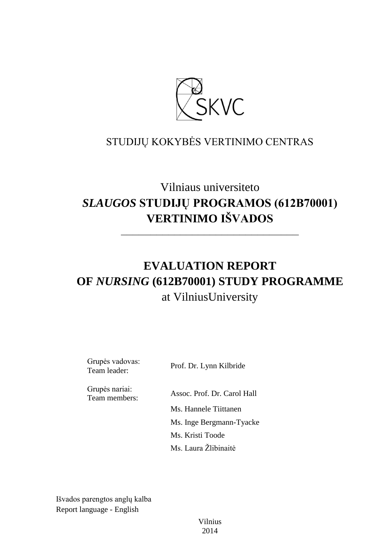

# STUDIJŲ KOKYBĖS VERTINIMO CENTRAS

# Vilniaus universiteto *SLAUGOS* **STUDIJŲ PROGRAMOS (612B70001) VERTINIMO IŠVADOS**

––––––––––––––––––––––––––––––

# **EVALUATION REPORT OF** *NURSING* **(612B70001) STUDY PROGRAMME** at VilniusUniversity

Grupės vadovas:

Team leader: Prof. Dr. Lynn Kilbride

Grupės nariai:

Team members: Assoc. Prof. Dr. Carol Hall Ms. Hannele Tiittanen Ms. Inge Bergmann-Tyacke Ms. Kristi Toode Ms. Laura Žlibinaitė

Išvados parengtos anglų kalba Report language - English

> Vilnius 2014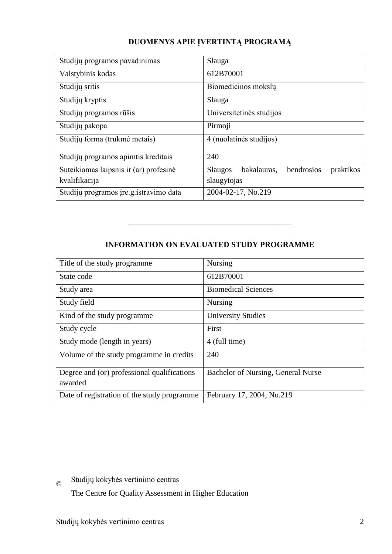### **DUOMENYS APIE ĮVERTINTĄ PROGRAMĄ**

| Studijų programos pavadinimas           | Slauga                                            |
|-----------------------------------------|---------------------------------------------------|
| Valstybinis kodas                       | 612B70001                                         |
| Studijų sritis                          | Biomedicinos mokslų                               |
| Studijų kryptis                         | Slauga                                            |
| Studijų programos rūšis                 | Universitetinės studijos                          |
| Studijų pakopa                          | Pirmoji                                           |
| Studijų forma (trukmė metais)           | 4 (nuolatinės studijos)                           |
| Studijų programos apimtis kreditais     | 240                                               |
| Suteikiamas laipsnis ir (ar) profesinė  | bendrosios<br>bakalauras,<br>praktikos<br>Slaugos |
| kvalifikacija                           | slaugytojas                                       |
| Studijų programos įre.g. istravimo data | 2004-02-17, No.219                                |

## **INFORMATION ON EVALUATED STUDY PROGRAMME**

–––––––––––––––––––––––––––––––

| Title of the study programme.               | <b>Nursing</b>                     |
|---------------------------------------------|------------------------------------|
| State code                                  | 612B70001                          |
| Study area                                  | <b>Biomedical Sciences</b>         |
| Study field                                 | <b>Nursing</b>                     |
| Kind of the study programme                 | <b>University Studies</b>          |
| Study cycle                                 | First                              |
| Study mode (length in years)                | 4 (full time)                      |
| Volume of the study programme in credits    | 240                                |
| Degree and (or) professional qualifications | Bachelor of Nursing, General Nurse |
| awarded                                     |                                    |
| Date of registration of the study programme | February 17, 2004, No.219          |

© Studijų kokybės vertinimo centras

The Centre for Quality Assessment in Higher Education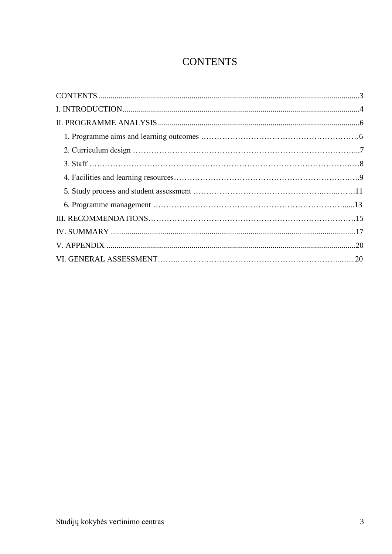# **CONTENTS**

<span id="page-2-0"></span>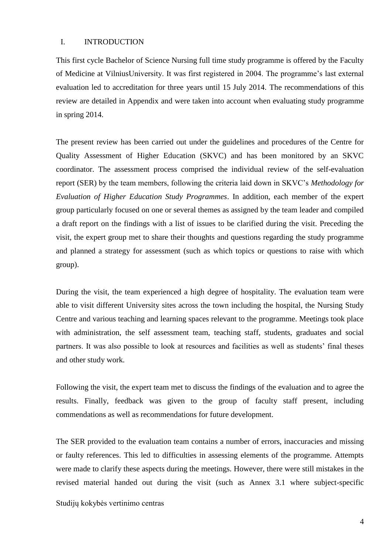#### <span id="page-3-0"></span>I. INTRODUCTION

This first cycle Bachelor of Science Nursing full time study programme is offered by the Faculty of Medicine at VilniusUniversity. It was first registered in 2004. The programme"s last external evaluation led to accreditation for three years until 15 July 2014. The recommendations of this review are detailed in Appendix and were taken into account when evaluating study programme in spring 2014.

The present review has been carried out under the guidelines and procedures of the Centre for Quality Assessment of Higher Education (SKVC) and has been monitored by an SKVC coordinator. The assessment process comprised the individual review of the self-evaluation report (SER) by the team members, following the criteria laid down in SKVC"s *Methodology for Evaluation of Higher Education Study Programmes*. In addition, each member of the expert group particularly focused on one or several themes as assigned by the team leader and compiled a draft report on the findings with a list of issues to be clarified during the visit. Preceding the visit, the expert group met to share their thoughts and questions regarding the study programme and planned a strategy for assessment (such as which topics or questions to raise with which group).

During the visit, the team experienced a high degree of hospitality. The evaluation team were able to visit different University sites across the town including the hospital, the Nursing Study Centre and various teaching and learning spaces relevant to the programme. Meetings took place with administration, the self assessment team, teaching staff, students, graduates and social partners. It was also possible to look at resources and facilities as well as students' final theses and other study work.

Following the visit, the expert team met to discuss the findings of the evaluation and to agree the results. Finally, feedback was given to the group of faculty staff present, including commendations as well as recommendations for future development.

The SER provided to the evaluation team contains a number of errors, inaccuracies and missing or faulty references. This led to difficulties in assessing elements of the programme. Attempts were made to clarify these aspects during the meetings. However, there were still mistakes in the revised material handed out during the visit (such as Annex 3.1 where subject-specific

Studijų kokybės vertinimo centras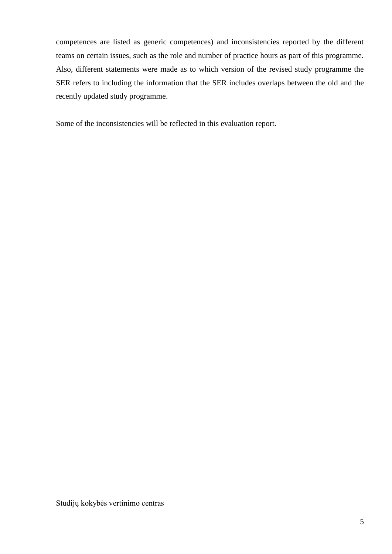competences are listed as generic competences) and inconsistencies reported by the different teams on certain issues, such as the role and number of practice hours as part of this programme. Also, different statements were made as to which version of the revised study programme the SER refers to including the information that the SER includes overlaps between the old and the recently updated study programme.

Some of the inconsistencies will be reflected in this evaluation report.

Studijų kokybės vertinimo centras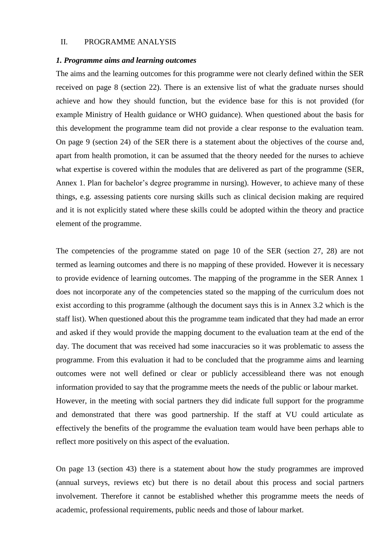### <span id="page-5-0"></span>II. PROGRAMME ANALYSIS

#### <span id="page-5-1"></span>*1. Programme aims and learning outcomes*

The aims and the learning outcomes for this programme were not clearly defined within the SER received on page 8 (section 22). There is an extensive list of what the graduate nurses should achieve and how they should function, but the evidence base for this is not provided (for example Ministry of Health guidance or WHO guidance). When questioned about the basis for this development the programme team did not provide a clear response to the evaluation team. On page 9 (section 24) of the SER there is a statement about the objectives of the course and, apart from health promotion, it can be assumed that the theory needed for the nurses to achieve what expertise is covered within the modules that are delivered as part of the programme (SER, Annex 1. Plan for bachelor's degree programme in nursing). However, to achieve many of these things, e.g. assessing patients core nursing skills such as clinical decision making are required and it is not explicitly stated where these skills could be adopted within the theory and practice element of the programme.

The competencies of the programme stated on page 10 of the SER (section 27, 28) are not termed as learning outcomes and there is no mapping of these provided. However it is necessary to provide evidence of learning outcomes. The mapping of the programme in the SER Annex 1 does not incorporate any of the competencies stated so the mapping of the curriculum does not exist according to this programme (although the document says this is in Annex 3.2 which is the staff list). When questioned about this the programme team indicated that they had made an error and asked if they would provide the mapping document to the evaluation team at the end of the day. The document that was received had some inaccuracies so it was problematic to assess the programme. From this evaluation it had to be concluded that the programme aims and learning outcomes were not well defined or clear or publicly accessibleand there was not enough information provided to say that the programme meets the needs of the public or labour market. However, in the meeting with social partners they did indicate full support for the programme and demonstrated that there was good partnership. If the staff at VU could articulate as effectively the benefits of the programme the evaluation team would have been perhaps able to reflect more positively on this aspect of the evaluation.

On page 13 (section 43) there is a statement about how the study programmes are improved (annual surveys, reviews etc) but there is no detail about this process and social partners involvement. Therefore it cannot be established whether this programme meets the needs of academic, professional requirements, public needs and those of labour market.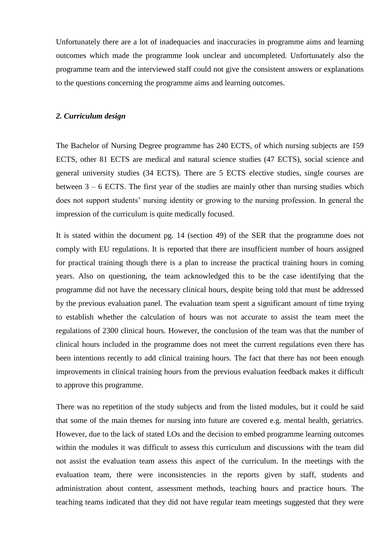<span id="page-6-0"></span>Unfortunately there are a lot of inadequacies and inaccuracies in programme aims and learning outcomes which made the programme look unclear and uncompleted. Unfortunately also the programme team and the interviewed staff could not give the consistent answers or explanations to the questions concerning the programme aims and learning outcomes.

#### *2. Curriculum design*

The Bachelor of Nursing Degree programme has 240 ECTS, of which nursing subjects are 159 ECTS, other 81 ECTS are medical and natural science studies (47 ECTS), social science and general university studies (34 ECTS). There are 5 ECTS elective studies, single courses are between  $3 - 6$  ECTS. The first year of the studies are mainly other than nursing studies which does not support students' nursing identity or growing to the nursing profession. In general the impression of the curriculum is quite medically focused.

It is stated within the document pg. 14 (section 49) of the SER that the programme does not comply with EU regulations. It is reported that there are insufficient number of hours assigned for practical training though there is a plan to increase the practical training hours in coming years. Also on questioning, the team acknowledged this to be the case identifying that the programme did not have the necessary clinical hours, despite being told that must be addressed by the previous evaluation panel. The evaluation team spent a significant amount of time trying to establish whether the calculation of hours was not accurate to assist the team meet the regulations of 2300 clinical hours. However, the conclusion of the team was that the number of clinical hours included in the programme does not meet the current regulations even there has been intentions recently to add clinical training hours. The fact that there has not been enough improvements in clinical training hours from the previous evaluation feedback makes it difficult to approve this programme.

There was no repetition of the study subjects and from the listed modules, but it could be said that some of the main themes for nursing into future are covered e.g. mental health, geriatrics. However, due to the lack of stated LOs and the decision to embed programme learning outcomes within the modules it was difficult to assess this curriculum and discussions with the team did not assist the evaluation team assess this aspect of the curriculum. In the meetings with the evaluation team, there were inconsistencies in the reports given by staff, students and administration about content, assessment methods, teaching hours and practice hours. The teaching teams indicated that they did not have regular team meetings suggested that they were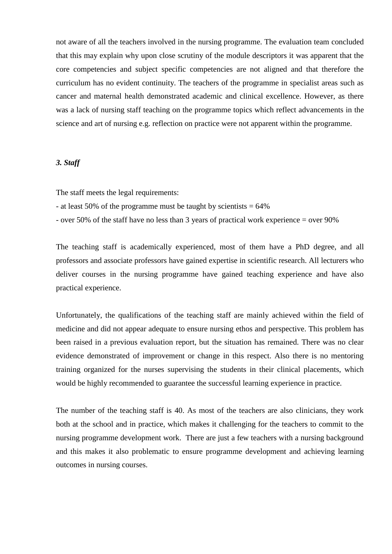not aware of all the teachers involved in the nursing programme. The evaluation team concluded that this may explain why upon close scrutiny of the module descriptors it was apparent that the core competencies and subject specific competencies are not aligned and that therefore the curriculum has no evident continuity. The teachers of the programme in specialist areas such as cancer and maternal health demonstrated academic and clinical excellence. However, as there was a lack of nursing staff teaching on the programme topics which reflect advancements in the science and art of nursing e.g. reflection on practice were not apparent within the programme.

### <span id="page-7-0"></span>*3. Staff*

The staff meets the legal requirements:

- at least 50% of the programme must be taught by scientists  $= 64\%$
- over 50% of the staff have no less than 3 years of practical work experience = over 90%

The teaching staff is academically experienced, most of them have a PhD degree, and all professors and associate professors have gained expertise in scientific research. All lecturers who deliver courses in the nursing programme have gained teaching experience and have also practical experience.

Unfortunately, the qualifications of the teaching staff are mainly achieved within the field of medicine and did not appear adequate to ensure nursing ethos and perspective. This problem has been raised in a previous evaluation report, but the situation has remained. There was no clear evidence demonstrated of improvement or change in this respect. Also there is no mentoring training organized for the nurses supervising the students in their clinical placements, which would be highly recommended to guarantee the successful learning experience in practice.

The number of the teaching staff is 40. As most of the teachers are also clinicians, they work both at the school and in practice, which makes it challenging for the teachers to commit to the nursing programme development work. There are just a few teachers with a nursing background and this makes it also problematic to ensure programme development and achieving learning outcomes in nursing courses.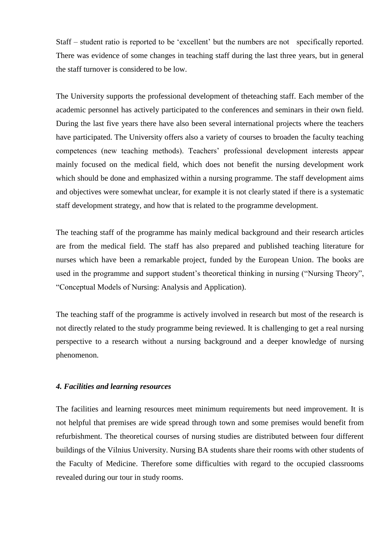Staff – student ratio is reported to be "excellent" but the numbers are not specifically reported. There was evidence of some changes in teaching staff during the last three years, but in general the staff turnover is considered to be low.

The University supports the professional development of theteaching staff. Each member of the academic personnel has actively participated to the conferences and seminars in their own field. During the last five years there have also been several international projects where the teachers have participated. The University offers also a variety of courses to broaden the faculty teaching competences (new teaching methods). Teachers" professional development interests appear mainly focused on the medical field, which does not benefit the nursing development work which should be done and emphasized within a nursing programme. The staff development aims and objectives were somewhat unclear, for example it is not clearly stated if there is a systematic staff development strategy, and how that is related to the programme development.

The teaching staff of the programme has mainly medical background and their research articles are from the medical field. The staff has also prepared and published teaching literature for nurses which have been a remarkable project, funded by the European Union. The books are used in the programme and support student's theoretical thinking in nursing ("Nursing Theory", "Conceptual Models of Nursing: Analysis and Application).

The teaching staff of the programme is actively involved in research but most of the research is not directly related to the study programme being reviewed. It is challenging to get a real nursing perspective to a research without a nursing background and a deeper knowledge of nursing phenomenon.

### <span id="page-8-0"></span>*4. Facilities and learning resources*

The facilities and learning resources meet minimum requirements but need improvement. It is not helpful that premises are wide spread through town and some premises would benefit from refurbishment. The theoretical courses of nursing studies are distributed between four different buildings of the Vilnius University. Nursing BA students share their rooms with other students of the Faculty of Medicine. Therefore some difficulties with regard to the occupied classrooms revealed during our tour in study rooms.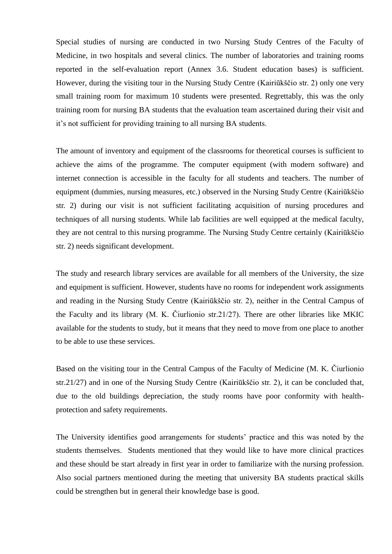Special studies of nursing are conducted in two Nursing Study Centres of the Faculty of Medicine, in two hospitals and several clinics. The number of laboratories and training rooms reported in the self-evaluation report (Annex 3.6. Student education bases) is sufficient. However, during the visiting tour in the Nursing Study Centre (Kairiūkščio str. 2) only one very small training room for maximum 10 students were presented. Regrettably, this was the only training room for nursing BA students that the evaluation team ascertained during their visit and it"s not sufficient for providing training to all nursing BA students.

The amount of inventory and equipment of the classrooms for theoretical courses is sufficient to achieve the aims of the programme. The computer equipment (with modern software) and internet connection is accessible in the faculty for all students and teachers. The number of equipment (dummies, nursing measures, etc.) observed in the Nursing Study Centre (Kairiūkščio str. 2) during our visit is not sufficient facilitating acquisition of nursing procedures and techniques of all nursing students. While lab facilities are well equipped at the medical faculty, they are not central to this nursing programme. The Nursing Study Centre certainly (Kairiūkščio str. 2) needs significant development.

The study and research library services are available for all members of the University, the size and equipment is sufficient. However, students have no rooms for independent work assignments and reading in the Nursing Study Centre (Kairiūkščio str. 2), neither in the Central Campus of the Faculty and its library (M. K. Čiurlionio str.21/27). There are other libraries like MKIC available for the students to study, but it means that they need to move from one place to another to be able to use these services.

Based on the visiting tour in the Central Campus of the Faculty of Medicine (M. K. Čiurlionio str.21/27) and in one of the Nursing Study Centre (Kairiūkščio str. 2), it can be concluded that, due to the old buildings depreciation, the study rooms have poor conformity with healthprotection and safety requirements.

The University identifies good arrangements for students" practice and this was noted by the students themselves. Students mentioned that they would like to have more clinical practices and these should be start already in first year in order to familiarize with the nursing profession. Also social partners mentioned during the meeting that university BA students practical skills could be strengthen but in general their knowledge base is good.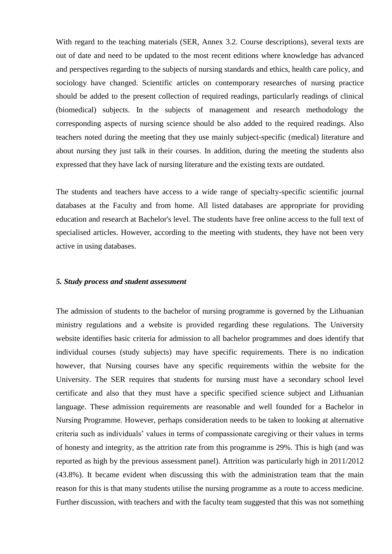With regard to the teaching materials (SER, Annex 3.2. Course descriptions), several texts are out of date and need to be updated to the most recent editions where knowledge has advanced and perspectives regarding to the subjects of nursing standards and ethics, health care policy, and sociology have changed. Scientific articles on contemporary researches of nursing practice should be added to the present collection of required readings, particularly readings of clinical (biomedical) subjects. In the subjects of management and research methodology the corresponding aspects of nursing science should be also added to the required readings. Also teachers noted during the meeting that they use mainly subject-specific (medical) literature and about nursing they just talk in their courses. In addition, during the meeting the students also expressed that they have lack of nursing literature and the existing texts are outdated.

The students and teachers have access to a wide range of specialty-specific scientific journal databases at the Faculty and from home. All listed databases are appropriate for providing education and research at Bachelor's level. The students have free online access to the full text of specialised articles. However, according to the meeting with students, they have not been very active in using databases.

#### <span id="page-10-0"></span>*5. Study process and student assessment*

The admission of students to the bachelor of nursing programme is governed by the Lithuanian ministry regulations and a website is provided regarding these regulations. The University website identifies basic criteria for admission to all bachelor programmes and does identify that individual courses (study subjects) may have specific requirements. There is no indication however, that Nursing courses have any specific requirements within the website for the University. The SER requires that students for nursing must have a secondary school level certificate and also that they must have a specific specified science subject and Lithuanian language. These admission requirements are reasonable and well founded for a Bachelor in Nursing Programme. However, perhaps consideration needs to be taken to looking at alternative criteria such as individuals" values in terms of compassionate caregiving or their values in terms of honesty and integrity, as the attrition rate from this programme is 29%. This is high (and was reported as high by the previous assessment panel). Attrition was particularly high in 2011/2012 (43.8%). It became evident when discussing this with the administration team that the main reason for this is that many students utilise the nursing programme as a route to access medicine. Further discussion, with teachers and with the faculty team suggested that this was not something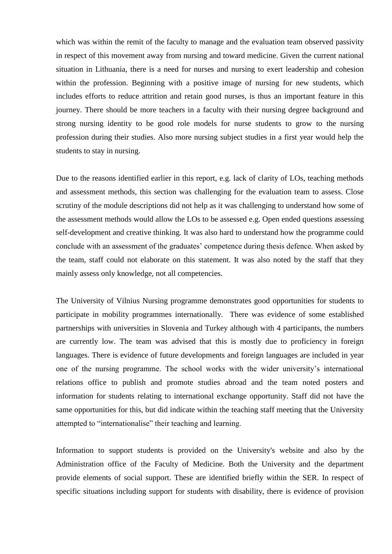which was within the remit of the faculty to manage and the evaluation team observed passivity in respect of this movement away from nursing and toward medicine. Given the current national situation in Lithuania, there is a need for nurses and nursing to exert leadership and cohesion within the profession. Beginning with a positive image of nursing for new students, which includes efforts to reduce attrition and retain good nurses, is thus an important feature in this journey. There should be more teachers in a faculty with their nursing degree background and strong nursing identity to be good role models for nurse students to grow to the nursing profession during their studies. Also more nursing subject studies in a first year would help the students to stay in nursing.

Due to the reasons identified earlier in this report, e.g. lack of clarity of LOs, teaching methods and assessment methods, this section was challenging for the evaluation team to assess. Close scrutiny of the module descriptions did not help as it was challenging to understand how some of the assessment methods would allow the LOs to be assessed e.g. Open ended questions assessing self-development and creative thinking. It was also hard to understand how the programme could conclude with an assessment of the graduates' competence during thesis defence. When asked by the team, staff could not elaborate on this statement. It was also noted by the staff that they mainly assess only knowledge, not all competencies.

The University of Vilnius Nursing programme demonstrates good opportunities for students to participate in mobility programmes internationally. There was evidence of some established partnerships with universities in Slovenia and Turkey although with 4 participants, the numbers are currently low. The team was advised that this is mostly due to proficiency in foreign languages. There is evidence of future developments and foreign languages are included in year one of the nursing programme. The school works with the wider university"s international relations office to publish and promote studies abroad and the team noted posters and information for students relating to international exchange opportunity. Staff did not have the same opportunities for this, but did indicate within the teaching staff meeting that the University attempted to "internationalise" their teaching and learning.

Information to support students is provided on the University's website and also by the Administration office of the Faculty of Medicine. Both the University and the department provide elements of social support. These are identified briefly within the SER. In respect of specific situations including support for students with disability, there is evidence of provision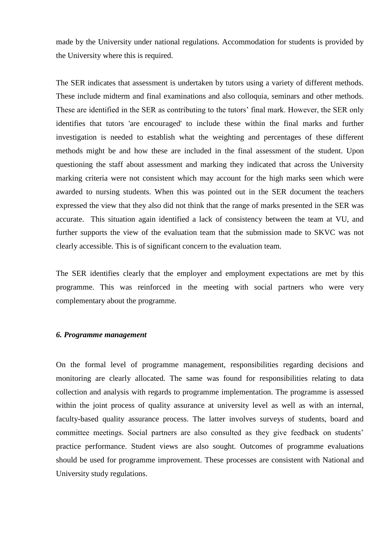made by the University under national regulations. Accommodation for students is provided by the University where this is required.

The SER indicates that assessment is undertaken by tutors using a variety of different methods. These include midterm and final examinations and also colloquia, seminars and other methods. These are identified in the SER as contributing to the tutors' final mark. However, the SER only identifies that tutors 'are encouraged' to include these within the final marks and further investigation is needed to establish what the weighting and percentages of these different methods might be and how these are included in the final assessment of the student. Upon questioning the staff about assessment and marking they indicated that across the University marking criteria were not consistent which may account for the high marks seen which were awarded to nursing students. When this was pointed out in the SER document the teachers expressed the view that they also did not think that the range of marks presented in the SER was accurate. This situation again identified a lack of consistency between the team at VU, and further supports the view of the evaluation team that the submission made to SKVC was not clearly accessible. This is of significant concern to the evaluation team.

The SER identifies clearly that the employer and employment expectations are met by this programme. This was reinforced in the meeting with social partners who were very complementary about the programme.

### <span id="page-12-0"></span>*6. Programme management*

On the formal level of programme management, responsibilities regarding decisions and monitoring are clearly allocated. The same was found for responsibilities relating to data collection and analysis with regards to programme implementation. The programme is assessed within the joint process of quality assurance at university level as well as with an internal, faculty-based quality assurance process. The latter involves surveys of students, board and committee meetings. Social partners are also consulted as they give feedback on students' practice performance. Student views are also sought. Outcomes of programme evaluations should be used for programme improvement. These processes are consistent with National and University study regulations.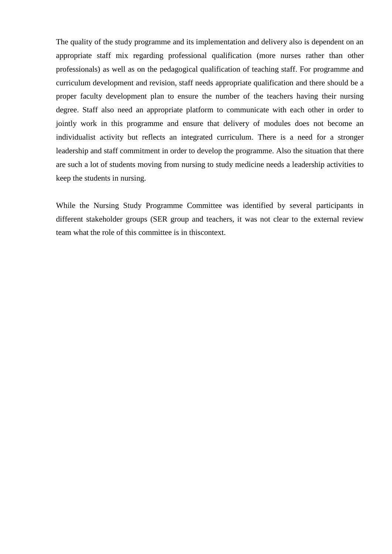The quality of the study programme and its implementation and delivery also is dependent on an appropriate staff mix regarding professional qualification (more nurses rather than other professionals) as well as on the pedagogical qualification of teaching staff. For programme and curriculum development and revision, staff needs appropriate qualification and there should be a proper faculty development plan to ensure the number of the teachers having their nursing degree. Staff also need an appropriate platform to communicate with each other in order to jointly work in this programme and ensure that delivery of modules does not become an individualist activity but reflects an integrated curriculum. There is a need for a stronger leadership and staff commitment in order to develop the programme. Also the situation that there are such a lot of students moving from nursing to study medicine needs a leadership activities to keep the students in nursing.

While the Nursing Study Programme Committee was identified by several participants in different stakeholder groups (SER group and teachers, it was not clear to the external review team what the role of this committee is in thiscontext.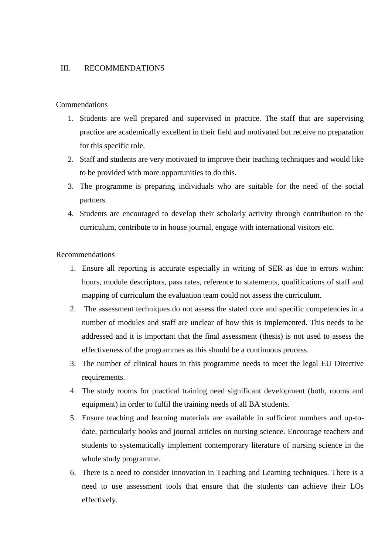### <span id="page-14-0"></span>III. RECOMMENDATIONS

### Commendations

- 1. Students are well prepared and supervised in practice. The staff that are supervising practice are academically excellent in their field and motivated but receive no preparation for this specific role.
- 2. Staff and students are very motivated to improve their teaching techniques and would like to be provided with more opportunities to do this.
- 3. The programme is preparing individuals who are suitable for the need of the social partners.
- 4. Students are encouraged to develop their scholarly activity through contribution to the curriculum, contribute to in house journal, engage with international visitors etc.

### Recommendations

- 1. Ensure all reporting is accurate especially in writing of SER as due to errors within: hours, module descriptors, pass rates, reference to statements, qualifications of staff and mapping of curriculum the evaluation team could not assess the curriculum.
- 2. The assessment techniques do not assess the stated core and specific competencies in a number of modules and staff are unclear of how this is implemented. This needs to be addressed and it is important that the final assessment (thesis) is not used to assess the effectiveness of the programmes as this should be a continuous process.
- 3. The number of clinical hours in this programme needs to meet the legal EU Directive requirements.
- 4. The study rooms for practical training need significant development (both, rooms and equipment) in order to fulfil the training needs of all BA students.
- 5. Ensure teaching and learning materials are available in sufficient numbers and up-todate, particularly books and journal articles on nursing science. Encourage teachers and students to systematically implement contemporary literature of nursing science in the whole study programme.
- 6. There is a need to consider innovation in Teaching and Learning techniques. There is a need to use assessment tools that ensure that the students can achieve their LOs effectively.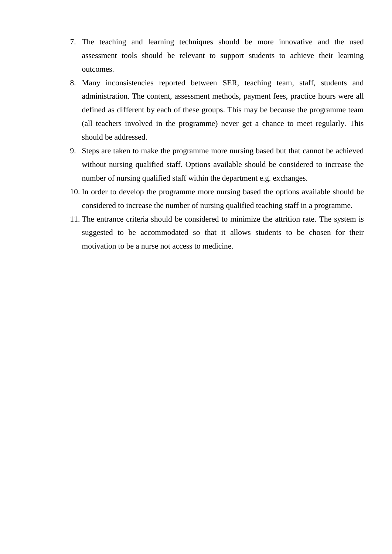- 7. The teaching and learning techniques should be more innovative and the used assessment tools should be relevant to support students to achieve their learning outcomes.
- 8. Many inconsistencies reported between SER, teaching team, staff, students and administration. The content, assessment methods, payment fees, practice hours were all defined as different by each of these groups. This may be because the programme team (all teachers involved in the programme) never get a chance to meet regularly. This should be addressed.
- 9. Steps are taken to make the programme more nursing based but that cannot be achieved without nursing qualified staff. Options available should be considered to increase the number of nursing qualified staff within the department e.g. exchanges.
- 10. In order to develop the programme more nursing based the options available should be considered to increase the number of nursing qualified teaching staff in a programme.
- 11. The entrance criteria should be considered to minimize the attrition rate. The system is suggested to be accommodated so that it allows students to be chosen for their motivation to be a nurse not access to medicine.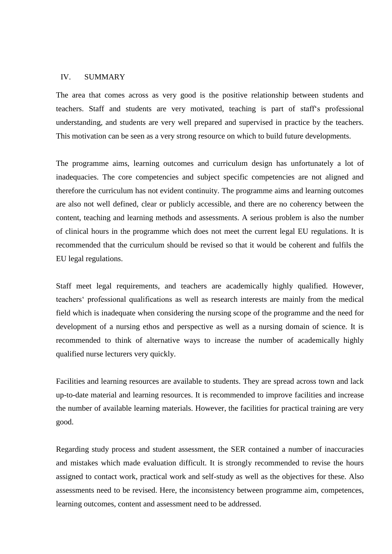### <span id="page-16-0"></span>IV. SUMMARY

The area that comes across as very good is the positive relationship between students and teachers. Staff and students are very motivated, teaching is part of staff"s professional understanding, and students are very well prepared and supervised in practice by the teachers. This motivation can be seen as a very strong resource on which to build future developments.

The programme aims, learning outcomes and curriculum design has unfortunately a lot of inadequacies. The core competencies and subject specific competencies are not aligned and therefore the curriculum has not evident continuity. The programme aims and learning outcomes are also not well defined, clear or publicly accessible, and there are no coherency between the content, teaching and learning methods and assessments. A serious problem is also the number of clinical hours in the programme which does not meet the current legal EU regulations. It is recommended that the curriculum should be revised so that it would be coherent and fulfils the EU legal regulations.

Staff meet legal requirements, and teachers are academically highly qualified. However, teachers" professional qualifications as well as research interests are mainly from the medical field which is inadequate when considering the nursing scope of the programme and the need for development of a nursing ethos and perspective as well as a nursing domain of science. It is recommended to think of alternative ways to increase the number of academically highly qualified nurse lecturers very quickly.

Facilities and learning resources are available to students. They are spread across town and lack up-to-date material and learning resources. It is recommended to improve facilities and increase the number of available learning materials. However, the facilities for practical training are very good.

Regarding study process and student assessment, the SER contained a number of inaccuracies and mistakes which made evaluation difficult. It is strongly recommended to revise the hours assigned to contact work, practical work and self-study as well as the objectives for these. Also assessments need to be revised. Here, the inconsistency between programme aim, competences, learning outcomes, content and assessment need to be addressed.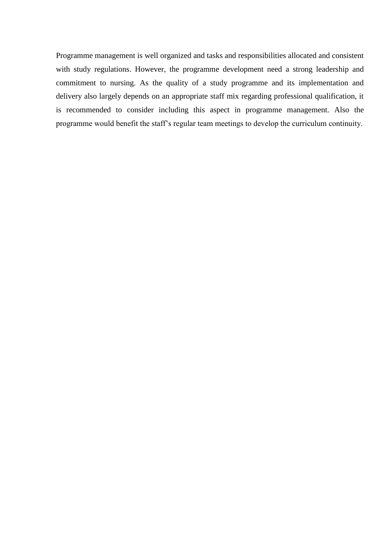Programme management is well organized and tasks and responsibilities allocated and consistent with study regulations. However, the programme development need a strong leadership and commitment to nursing. As the quality of a study programme and its implementation and delivery also largely depends on an appropriate staff mix regarding professional qualification, it is recommended to consider including this aspect in programme management. Also the programme would benefit the staff"s regular team meetings to develop the curriculum continuity.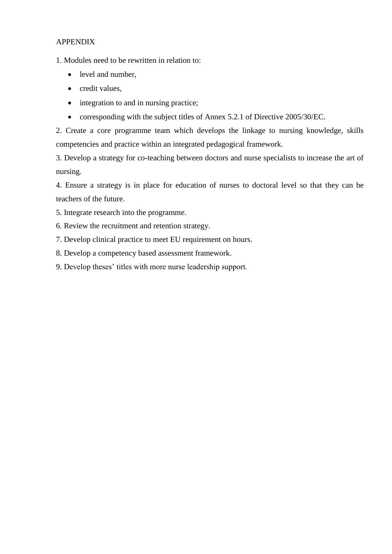### APPENDIX

1. Modules need to be rewritten in relation to:

- level and number,
- credit values,
- integration to and in nursing practice;
- corresponding with the subject titles of Annex 5.2.1 of Directive 2005/30/EC.

2. Create a core programme team which develops the linkage to nursing knowledge, skills competencies and practice within an integrated pedagogical framework.

3. Develop a strategy for co-teaching between doctors and nurse specialists to increase the art of nursing.

4. Ensure a strategy is in place for education of nurses to doctoral level so that they can be teachers of the future.

5. Integrate research into the programme.

6. Review the recruitment and retention strategy.

7. Develop clinical practice to meet EU requirement on hours.

8. Develop a competency based assessment framework.

9. Develop theses" titles with more nurse leadership support.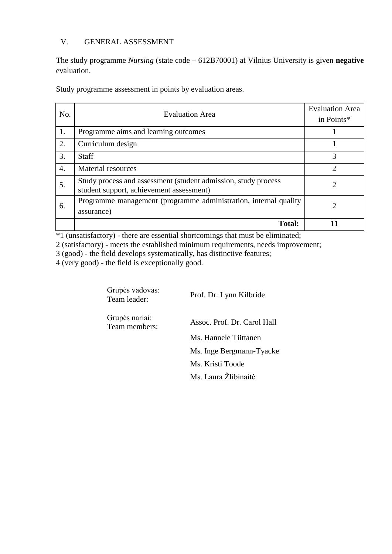### <span id="page-19-0"></span>V. GENERAL ASSESSMENT

The study programme *Nursing* (state code – 612B70001) at Vilnius University is given **negative** evaluation.

Study programme assessment in points by evaluation areas.

| No. | <b>Evaluation Area</b>                                                                                     | <b>Evaluation Area</b><br>in Points* |
|-----|------------------------------------------------------------------------------------------------------------|--------------------------------------|
| 1.  | Programme aims and learning outcomes                                                                       |                                      |
| 2.  | Curriculum design                                                                                          |                                      |
| 3.  | <b>Staff</b>                                                                                               | 3                                    |
| 4.  | <b>Material resources</b>                                                                                  | 2                                    |
| 5.  | Study process and assessment (student admission, study process<br>student support, achievement assessment) |                                      |
| 6.  | Programme management (programme administration, internal quality<br>assurance)                             | 2                                    |
|     | <b>Total:</b>                                                                                              |                                      |

\*1 (unsatisfactory) - there are essential shortcomings that must be eliminated;

2 (satisfactory) - meets the established minimum requirements, needs improvement;

3 (good) - the field develops systematically, has distinctive features;

4 (very good) - the field is exceptionally good.

| Grupės vadovas:<br>Team leader: | Prof. Dr. Lynn Kilbride     |
|---------------------------------|-----------------------------|
| Grupės nariai:<br>Team members: | Assoc. Prof. Dr. Carol Hall |
|                                 | Ms. Hannele Tiittanen       |
|                                 | Ms. Inge Bergmann-Tyacke    |
|                                 | Ms. Kristi Toode            |
|                                 | Ms. Laura Žlibinaitė        |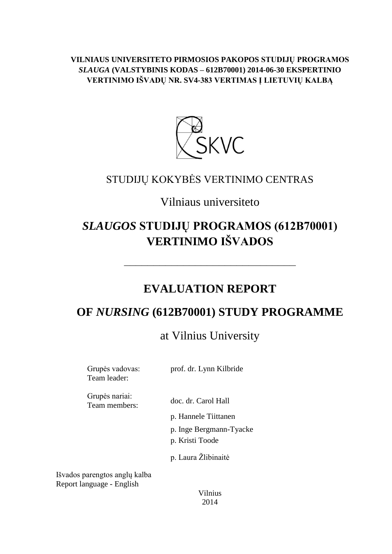**VILNIAUS UNIVERSITETO PIRMOSIOS PAKOPOS STUDIJŲ PROGRAMOS**  *SLAUGA* **(VALSTYBINIS KODAS – 612B70001) 2014-06-30 EKSPERTINIO VERTINIMO IŠVADŲ NR. SV4-383 VERTIMAS Į LIETUVIŲ KALBĄ**



# STUDIJŲ KOKYBĖS VERTINIMO CENTRAS

# Vilniaus universiteto

# *SLAUGOS* **STUDIJŲ PROGRAMOS (612B70001) VERTINIMO IŠVADOS**

# **EVALUATION REPORT**

–––––––––––––––––––––––––––––

# **OF** *NURSING* **(612B70001) STUDY PROGRAMME**

# at Vilnius University

| Grupės vadovas:<br>Team leader: | prof. dr. Lynn Kilbride                    |
|---------------------------------|--------------------------------------------|
| Grupės nariai:<br>Team members: | doc. dr. Carol Hall                        |
|                                 | p. Hannele Tiittanen                       |
|                                 | p. Inge Bergmann-Tyacke<br>p. Kristi Toode |
|                                 | p. Laura Żlibinaitė                        |
| narenotos anolu kalha           |                                            |

Išvados parengtos anglų kalba Report language - English

> Vilnius 2014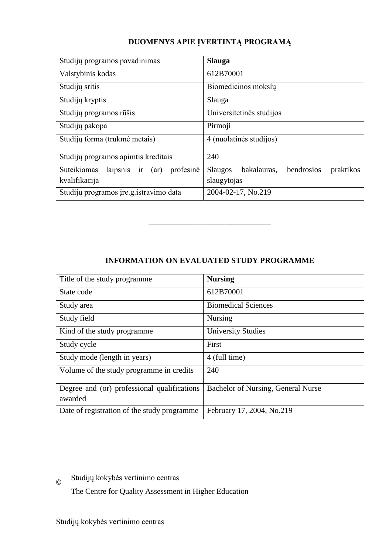### **DUOMENYS APIE ĮVERTINTĄ PROGRAMĄ**

| Studijų programos pavadinimas                      | <b>Slauga</b>                                            |
|----------------------------------------------------|----------------------------------------------------------|
| Valstybinis kodas                                  | 612B70001                                                |
| Studijų sritis                                     | Biomedicinos moksly                                      |
| Studijų kryptis                                    | Slauga                                                   |
| Studijų programos rūšis                            | Universitetinės studijos                                 |
| Studijų pakopa                                     | Pirmoji                                                  |
| Studijų forma (trukmė metais)                      | 4 (nuolatinės studijos)                                  |
| Studijų programos apimtis kreditais                | 240                                                      |
| profesinė<br>Suteikiamas<br>laipsnis<br>(ar)<br>ir | bendrosios<br><b>Slaugos</b><br>bakalauras,<br>praktikos |
| kvalifikacija                                      | slaugytojas                                              |
| Studijų programos įre.g. istravimo data            | 2004-02-17, No.219                                       |

### **INFORMATION ON EVALUATED STUDY PROGRAMME**

–––––––––––––––––––––––––––––––

| Title of the study programme.               | <b>Nursing</b>                     |
|---------------------------------------------|------------------------------------|
| State code                                  | 612B70001                          |
| Study area                                  | <b>Biomedical Sciences</b>         |
| Study field                                 | <b>Nursing</b>                     |
| Kind of the study programme.                | <b>University Studies</b>          |
| Study cycle                                 | First                              |
| Study mode (length in years)                | 4 (full time)                      |
| Volume of the study programme in credits    | 240                                |
| Degree and (or) professional qualifications | Bachelor of Nursing, General Nurse |
| awarded                                     |                                    |
| Date of registration of the study programme | February 17, 2004, No.219          |

 $\odot$ Studijų kokybės vertinimo centras

The Centre for Quality Assessment in Higher Education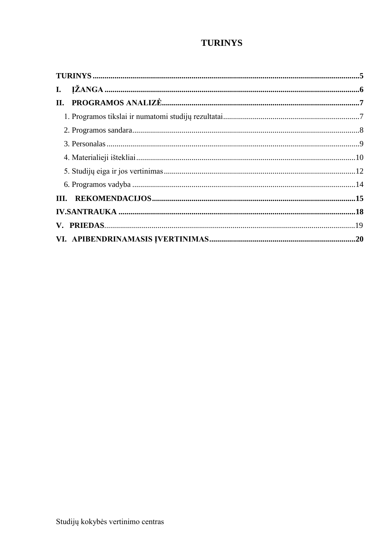## **TURINYS**

<span id="page-22-0"></span>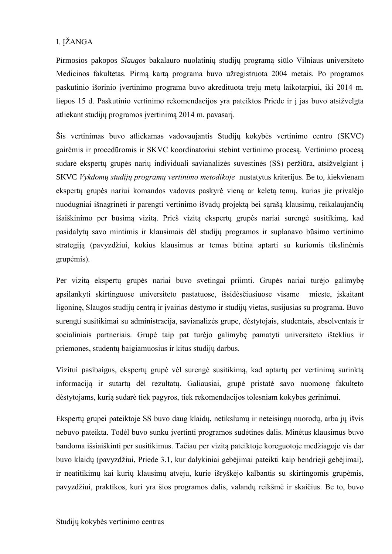### <span id="page-23-0"></span>I. IŽANGA

Pirmosios pakopos *Slaugos* bakalauro nuolatinių studijų programą siūlo Vilniaus universiteto Medicinos fakultetas. Pirmą kartą programa buvo užregistruota 2004 metais. Po programos paskutinio išorinio įvertinimo programa buvo akredituota trejų metų laikotarpiui, iki 2014 m. liepos 15 d. Paskutinio vertinimo rekomendacijos yra pateiktos Priede ir į jas buvo atsižvelgta atliekant studijų programos įvertinimą 2014 m. pavasarį.

Šis vertinimas buvo atliekamas vadovaujantis Studijų kokybės vertinimo centro (SKVC) gairėmis ir procedūromis ir SKVC koordinatoriui stebint vertinimo procesą. Vertinimo procesą sudarė ekspertų grupės narių individuali savianalizės suvestinės (SS) peržiūra, atsižvelgiant į SKVC *Vykdomų studijų programų vertinimo metodikoje* nustatytus kriterijus. Be to, kiekvienam ekspertų grupės nariui komandos vadovas paskyrė vieną ar keletą temų, kurias jie privalėjo nuodugniai išnagrinėti ir parengti vertinimo išvadų projektą bei sąrašą klausimų, reikalaujančių išaiškinimo per būsimą vizitą. Prieš vizitą ekspertų grupės nariai surengė susitikimą, kad pasidalytų savo mintimis ir klausimais dėl studijų programos ir suplanavo būsimo vertinimo strategiją (pavyzdžiui, kokius klausimus ar temas būtina aptarti su kuriomis tikslinėmis grupėmis).

Per vizitą ekspertų grupės nariai buvo svetingai priimti. Grupės nariai turėjo galimybę apsilankyti skirtinguose universiteto pastatuose, išsidėsčiusiuose visame mieste, įskaitant ligoninę, Slaugos studijų centrą ir įvairias dėstymo ir studijų vietas, susijusias su programa. Buvo surengti susitikimai su administracija, savianalizės grupe, dėstytojais, studentais, absolventais ir socialiniais partneriais. Grupė taip pat turėjo galimybę pamatyti universiteto išteklius ir priemones, studentų baigiamuosius ir kitus studijų darbus.

Vizitui pasibaigus, ekspertų grupė vėl surengė susitikimą, kad aptartų per vertinimą surinktą informaciją ir sutartų dėl rezultatų. Galiausiai, grupė pristatė savo nuomonę fakulteto dėstytojams, kurią sudarė tiek pagyros, tiek rekomendacijos tolesniam kokybes gerinimui.

Ekspertų grupei pateiktoje SS buvo daug klaidų, netikslumų ir neteisingų nuorodų, arba jų išvis nebuvo pateikta. Todėl buvo sunku įvertinti programos sudėtines dalis. Minėtus klausimus buvo bandoma išsiaiškinti per susitikimus. Tačiau per vizitą pateiktoje koreguotoje medžiagoje vis dar buvo klaidų (pavyzdžiui, Priede 3.1, kur dalykiniai gebėjimai pateikti kaip bendrieji gebėjimai), ir neatitikimų kai kurių klausimų atveju, kurie išryškėjo kalbantis su skirtingomis grupėmis, pavyzdžiui, praktikos, kuri yra šios programos dalis, valandų reikšmė ir skaičius. Be to, buvo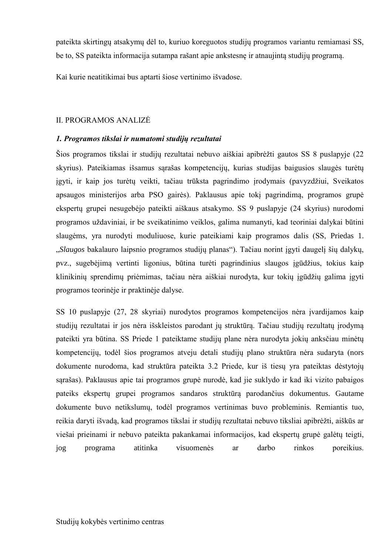pateikta skirtingų atsakymų dėl to, kuriuo koreguotos studijų programos variantu remiamasi SS, be to, SS pateikta informacija sutampa rašant apie ankstesnę ir atnaujintą studijų programą.

Kai kurie neatitikimai bus aptarti šiose vertinimo išvadose.

### <span id="page-24-0"></span>II. PROGRAMOS ANALIZĖ

### <span id="page-24-1"></span>*1. Programos tikslai ir numatomi studijų rezultatai*

Šios programos tikslai ir studijų rezultatai nebuvo aiškiai apibrėžti gautos SS 8 puslapyje (22 skyrius). Pateikiamas išsamus sąrašas kompetencijų, kurias studijas baigusios slaugės turėtų igyti, ir kaip jos turėtų veikti, tačiau trūksta pagrindimo įrodymais (pavyzdžiui, Sveikatos apsaugos ministerijos arba PSO gairės). Paklausus apie tokį pagrindimą, programos grupė ekspertų grupei nesugebėjo pateikti aiškaus atsakymo. SS 9 puslapyje (24 skyrius) nurodomi programos uždaviniai, ir be sveikatinimo veiklos, galima numanyti, kad teoriniai dalykai būtini slaugėms, yra nurodyti moduliuose, kurie pateikiami kaip programos dalis (SS, Priedas 1. "*Slaugos* bakalauro laipsnio programos studijų planas"). Tačiau norint įgyti daugelį šių dalykų, pvz., sugebėjimą vertinti ligonius, būtina turėti pagrindinius slaugos įgūdžius, tokius kaip klinikinių sprendimų priėmimas, tačiau nėra aiškiai nurodyta, kur tokių įgūdžių galima įgyti programos teorinėje ir praktinėje dalyse.

SS 10 puslapyje (27, 28 skyriai) nurodytos programos kompetencijos nėra įvardijamos kaip studijų rezultatai ir jos nėra išskleistos parodant jų struktūrą. Tačiau studijų rezultatų įrodymą pateikti yra būtina. SS Priede 1 pateiktame studijų plane nėra nurodyta jokių anksčiau minėtų kompetencijų, todėl šios programos atveju detali studijų plano struktūra nėra sudaryta (nors dokumente nurodoma, kad struktūra pateikta 3.2 Priede, kur iš tiesų yra pateiktas dėstytojų sąrašas). Paklausus apie tai programos grupė nurodė, kad jie suklydo ir kad iki vizito pabaigos pateiks ekspertų grupei programos sandaros struktūrą parodančius dokumentus. Gautame dokumente buvo netikslumų, todėl programos vertinimas buvo probleminis. Remiantis tuo, reikia daryti išvadą, kad programos tikslai ir studijų rezultatai nebuvo tiksliai apibrėžti, aiškūs ar viešai prieinami ir nebuvo pateikta pakankamai informacijos, kad ekspertų grupė galėtų teigti, jog programa atitinka visuomenės ar darbo rinkos poreikius.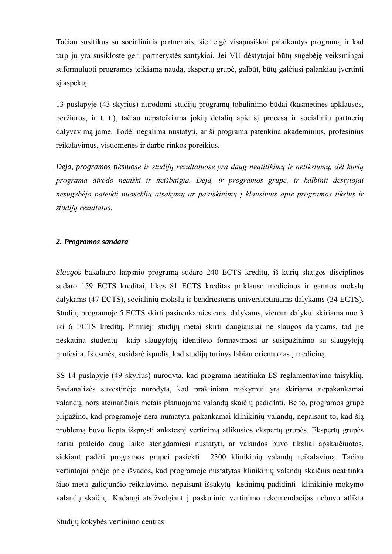Tačiau susitikus su socialiniais partneriais, šie teigė visapusiškai palaikantys programą ir kad tarp jų yra susiklostę geri partnerystės santykiai. Jei VU dėstytojai būtų sugebėję veiksmingai suformuluoti programos teikiamą naudą, ekspertų grupė, galbūt, būtų galėjusi palankiau įvertinti šį aspektą.

13 puslapyje (43 skyrius) nurodomi studijų programų tobulinimo būdai (kasmetinės apklausos, peržiūros, ir t. t.), tačiau nepateikiama jokių detalių apie šį procesą ir socialinių partnerių dalyvavimą jame. Todėl negalima nustatyti, ar ši programa patenkina akademinius, profesinius reikalavimus, visuomenės ir darbo rinkos poreikius.

*Deja, programos tiksluose ir studijų rezultatuose yra daug neatitikimų ir netikslumų, dėl kurių programa atrodo neaiški ir neišbaigta. Deja, ir programos grupė, ir kalbinti dėstytojai nesugebėjo pateikti nuoseklių atsakymų ar paaiškinimų į klausimus apie programos tikslus ir studijų rezultatus.*

### <span id="page-25-0"></span>*2. Programos sandara*

*Slaugos* bakalauro laipsnio programą sudaro 240 ECTS kreditų, iš kurių slaugos disciplinos sudaro 159 ECTS kreditai, likęs 81 ECTS kreditas priklauso medicinos ir gamtos mokslų dalykams (47 ECTS), socialinių mokslų ir bendriesiems universitetiniams dalykams (34 ECTS). Studijų programoje 5 ECTS skirti pasirenkamiesiems dalykams, vienam dalykui skiriama nuo 3 iki 6 ECTS kreditų. Pirmieji studijų metai skirti daugiausiai ne slaugos dalykams, tad jie neskatina studentų kaip slaugytojų identiteto formavimosi ar susipažinimo su slaugytojų profesija. Iš esmės, susidarė įspūdis, kad studijų turinys labiau orientuotas į mediciną.

SS 14 puslapyje (49 skyrius) nurodyta, kad programa neatitinka ES reglamentavimo taisyklių. Savianalizės suvestinėje nurodyta, kad praktiniam mokymui yra skiriama nepakankamai valandų, nors ateinančiais metais planuojama valandų skaičių padidinti. Be to, programos grupė pripažino, kad programoje nėra numatyta pakankamai klinikinių valandų, nepaisant to, kad šią problemą buvo liepta išspręsti ankstesnį vertinimą atlikusios ekspertų grupės. Ekspertų grupės nariai praleido daug laiko stengdamiesi nustatyti, ar valandos buvo tiksliai apskaičiuotos, siekiant padėti programos grupei pasiekti 2300 klinikinių valandų reikalavimą. Tačiau vertintojai priėjo prie išvados, kad programoje nustatytas klinikinių valandų skaičius neatitinka šiuo metu galiojančio reikalavimo, nepaisant išsakytų ketinimų padidinti klinikinio mokymo valandų skaičių. Kadangi atsižvelgiant į paskutinio vertinimo rekomendacijas nebuvo atlikta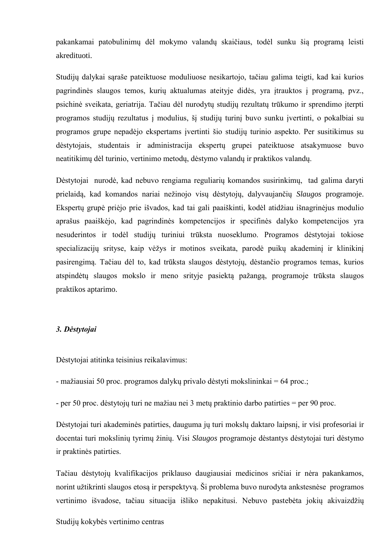pakankamai patobulinimų dėl mokymo valandų skaičiaus, todėl sunku šią programą leisti akredituoti.

Studiju dalykai saraše pateiktuose moduliuose nesikartojo, tačiau galima teigti, kad kai kurios pagrindinės slaugos temos, kurių aktualumas ateityje didės, yra įtrauktos į programą, pvz., psichinė sveikata, geriatrija. Tačiau dėl nurodytų studijų rezultatų trūkumo ir sprendimo įterpti programos studijų rezultatus į modulius, šį studijų turinį buvo sunku įvertinti, o pokalbiai su programos grupe nepadėjo ekspertams įvertinti šio studijų turinio aspekto. Per susitikimus su dėstytojais, studentais ir administracija ekspertų grupei pateiktuose atsakymuose buvo neatitikimų dėl turinio, vertinimo metodų, dėstymo valandų ir praktikos valandų.

Dėstytojai nurodė, kad nebuvo rengiama reguliarių komandos susirinkimų, tad galima daryti prielaidą, kad komandos nariai nežinojo visų dėstytojų, dalyvaujančių *Slaugos* programoje. Ekspertu grupė priėjo prie išvados, kad tai gali paaiškinti, kodėl atidžiau išnagrinėjus modulio aprašus paaiškėjo, kad pagrindinės kompetencijos ir specifinės dalyko kompetencijos yra nesuderintos ir todėl studijų turiniui trūksta nuoseklumo. Programos dėstytojai tokiose specializacijų srityse, kaip vėžys ir motinos sveikata, parodė puikų akademinį ir klinikinį pasirengimą. Tačiau dėl to, kad trūksta slaugos dėstytojų, dėstančio programos temas, kurios atspindėtų slaugos mokslo ir meno srityje pasiektą pažangą, programoje trūksta slaugos praktikos aptarimo.

### <span id="page-26-0"></span>*3. Dėstytojai*

Dėstytojai atitinka teisinius reikalavimus:

 $-$  mažiausiai 50 proc. programos dalykų privalo dėstyti mokslininkai = 64 proc.;

 $-$  per 50 proc. dėstytojų turi ne mažiau nei 3 metų praktinio darbo patirties  $=$  per 90 proc.

Dėstytojai turi akademinės patirties, dauguma jų turi mokslų daktaro laipsnį, ir visi profesoriai ir docentai turi mokslinių tyrimų ţinių. Visi *Slaugos* programoje dėstantys dėstytojai turi dėstymo ir praktinės patirties.

Tačiau dėstytojų kvalifikacijos priklauso daugiausiai medicinos sričiai ir nėra pakankamos, norint užtikrinti slaugos etosą ir perspektyva. Ši problema buvo nurodyta ankstesnėse programos vertinimo išvadose, tačiau situacija išliko nepakitusi. Nebuvo pastebėta jokių akivaizdžių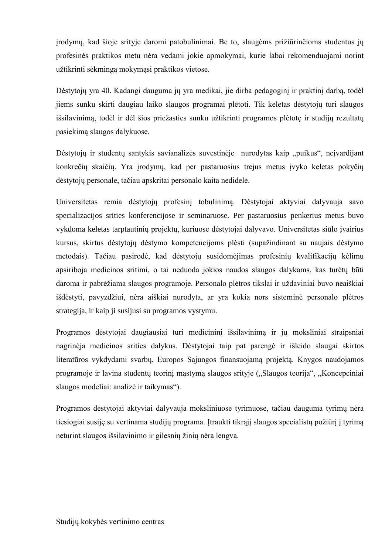irodymų, kad šioje srityje daromi patobulinimai. Be to, slaugėms prižiūrinčioms studentus jų profesinės praktikos metu nėra vedami jokie apmokymai, kurie labai rekomenduojami norint užtikrinti sėkmingą mokymasi praktikos vietose.

Dėstytojų yra 40. Kadangi dauguma jų yra medikai, jie dirba pedagoginį ir praktinį darbą, todėl jiems sunku skirti daugiau laiko slaugos programai plėtoti. Tik keletas dėstytojų turi slaugos išsilavinimą, todėl ir dėl šios priežasties sunku užtikrinti programos plėtotę ir studijų rezultatų pasiekimą slaugos dalykuose.

Dėstytojų ir studentų santykis savianalizės suvestinėje nurodytas kaip "puikus", neįvardijant konkrečių skaičių. Yra įrodymų, kad per pastaruosius trejus metus įvyko keletas pokyčių dėstytojų personale, tačiau apskritai personalo kaita nedidelė.

Universitetas remia dėstytojų profesinį tobulinimą. Dėstytojai aktyviai dalyvauja savo specializacijos srities konferencijose ir seminaruose. Per pastaruosius penkerius metus buvo vykdoma keletas tarptautinių projektų, kuriuose dėstytojai dalyvavo. Universitetas siūlo įvairius kursus, skirtus dėstytojų dėstymo kompetencijoms plėsti (supažindinant su naujais dėstymo metodais). Tačiau pasirodė, kad dėstytojų susidomėjimas profesinių kvalifikacijų kėlimu apsiriboja medicinos sritimi, o tai neduoda jokios naudos slaugos dalykams, kas turėtų būti daroma ir pabrėžiama slaugos programoje. Personalo plėtros tikslai ir uždaviniai buvo neaiškiai išdėstyti, pavyzdžiui, nėra aiškiai nurodyta, ar yra kokia nors sisteminė personalo plėtros strategija, ir kaip ji susijusi su programos vystymu.

Programos dėstytojai daugiausiai turi medicininį išsilavinimą ir jų moksliniai straipsniai nagrinėja medicinos srities dalykus. Dėstytojai taip pat parengė ir išleido slaugai skirtos literatūros vykdydami svarbų, Europos Sąjungos finansuojamą projektą. Knygos naudojamos programoje ir lavina studentų teorinį mąstymą slaugos srityje ("Slaugos teorija", "Koncepciniai slaugos modeliai: analizė ir taikymas").

<span id="page-27-0"></span>Programos dėstytojai aktyviai dalyvauja moksliniuose tyrimuose, tačiau dauguma tyrimų nėra tiesiogiai susiję su vertinama studijų programa. Įtraukti tikrąjį slaugos specialistų požiūrį į tyrimą neturint slaugos išsilavinimo ir gilesnių žinių nėra lengva.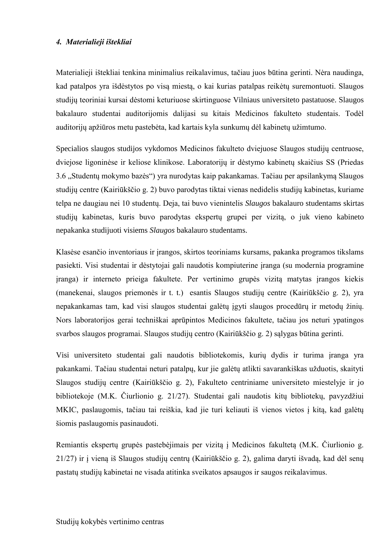### *4. Materialieji ištekliai*

Materialieji ištekliai tenkina minimalius reikalavimus, tačiau juos būtina gerinti. Nėra naudinga, kad patalpos yra išdėstytos po visą miestą, o kai kurias patalpas reikėtų suremontuoti. Slaugos studijų teoriniai kursai dėstomi keturiuose skirtinguose Vilniaus universiteto pastatuose. Slaugos bakalauro studentai auditorijomis dalijasi su kitais Medicinos fakulteto studentais. Todėl auditorijų apžiūros metu pastebėta, kad kartais kyla sunkumų dėl kabinetų užimtumo.

Specialios slaugos studijos vykdomos Medicinos fakulteto dviejuose Slaugos studijų centruose, dviejose ligoninėse ir keliose klinikose. Laboratorijų ir dėstymo kabinetų skaičius SS (Priedas 3.6 "Studentų mokymo bazės") yra nurodytas kaip pakankamas. Tačiau per apsilankymą Slaugos studijų centre (Kairiūkščio g. 2) buvo parodytas tiktai vienas nedidelis studijų kabinetas, kuriame telpa ne daugiau nei 10 studentų. Deja, tai buvo vienintelis *Slaugos* bakalauro studentams skirtas studijų kabinetas, kuris buvo parodytas ekspertų grupei per vizitą, o juk vieno kabineto nepakanka studijuoti visiems *Slaugos* bakalauro studentams.

Klasėse esančio inventoriaus ir įrangos, skirtos teoriniams kursams, pakanka programos tikslams pasiekti. Visi studentai ir dėstytojai gali naudotis kompiuterine įranga (su modernia programine įranga) ir interneto prieiga fakultete. Per vertinimo grupės vizitą matytas įrangos kiekis (manekenai, slaugos priemonės ir t. t.) esantis Slaugos studijų centre (Kairiūkščio g. 2), yra nepakankamas tam, kad visi slaugos studentai galėtų įgyti slaugos procedūrų ir metodų žinių. Nors laboratorijos gerai techniškai aprūpintos Medicinos fakultete, tačiau jos neturi ypatingos svarbos slaugos programai. Slaugos studijų centro (Kairiūkščio g. 2) sąlygas būtina gerinti.

Visi universiteto studentai gali naudotis bibliotekomis, kurių dydis ir turima įranga yra pakankami. Tačiau studentai neturi patalpų, kur jie galėtų atlikti savarankiškas užduotis, skaityti Slaugos studijų centre (Kairiūkščio g. 2), Fakulteto centriniame universiteto miestelyje ir jo bibliotekoje (M.K. Čiurlionio g. 21/27). Studentai gali naudotis kitų bibliotekų, pavyzdžiui MKIC, paslaugomis, tačiau tai reiškia, kad jie turi keliauti iš vienos vietos į kitą, kad galėtų šiomis paslaugomis pasinaudoti.

Remiantis ekspertų grupės pastebėjimais per vizitą į Medicinos fakultetą (M.K. Čiurlionio g. 21/27) ir į vieną iš Slaugos studijų centrų (Kairiūkščio g. 2), galima daryti išvadą, kad dėl senų pastatų studijų kabinetai ne visada atitinka sveikatos apsaugos ir saugos reikalavimus.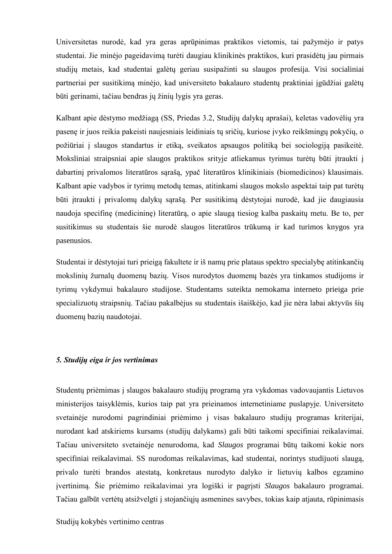Universitetas nurodė, kad yra geras aprūpinimas praktikos vietomis, tai pažymėjo ir patys studentai. Jie minėjo pageidavimą turėti daugiau klinikinės praktikos, kuri prasidėtų jau pirmais studijų metais, kad studentai galėtų geriau susipažinti su slaugos profesija. Visi socialiniai partneriai per susitikimą minėjo, kad universiteto bakalauro studentų praktiniai įgūdžiai galėtų būti gerinami, tačiau bendras jų žinių lygis yra geras.

Kalbant apie dėstymo medžiagą (SS, Priedas 3.2, Studijų dalykų aprašai), keletas vadovėlių yra pasenę ir juos reikia pakeisti naujesniais leidiniais tų sričių, kuriose įvyko reikšmingų pokyčių, o požiūriai į slaugos standartus ir etiką, sveikatos apsaugos politiką bei sociologiją pasikeitė. Moksliniai straipsniai apie slaugos praktikos srityje atliekamus tyrimus turėtų būti įtraukti į dabartinį privalomos literatūros sąrašą, ypač literatūros klinikiniais (biomedicinos) klausimais. Kalbant apie vadybos ir tyrimų metodų temas, atitinkami slaugos mokslo aspektai taip pat turėtų būti įtraukti į privalomų dalykų sąrašą. Per susitikimą dėstytojai nurodė, kad jie daugiausia naudoja specifinę (medicininę) literatūrą, o apie slaugą tiesiog kalba paskaitų metu. Be to, per susitikimus su studentais šie nurodė slaugos literatūros trūkumą ir kad turimos knygos yra pasenusios.

Studentai ir dėstytojai turi prieigą fakultete ir iš namų prie plataus spektro specialybę atitinkančių mokslinių žurnalų duomenų bazių. Visos nurodytos duomenų bazės yra tinkamos studijoms ir tyrimų vykdymui bakalauro studijose. Studentams suteikta nemokama interneto prieiga prie specializuotų straipsnių. Tačiau pakalbėjus su studentais išaiškėjo, kad jie nėra labai aktyvūs šių duomenų bazių naudotojai.

### <span id="page-29-0"></span>*5. Studijų eiga ir jos vertinimas*

Studentų priėmimas į slaugos bakalauro studijų programą yra vykdomas vadovaujantis Lietuvos ministerijos taisyklėmis, kurios taip pat yra prieinamos internetiniame puslapyje. Universiteto svetainėje nurodomi pagrindiniai priėmimo į visas bakalauro studijų programas kriterijai, nurodant kad atskiriems kursams (studijų dalykams) gali būti taikomi specifiniai reikalavimai. Tačiau universiteto svetainėje nenurodoma, kad *Slaugos* programai būtų taikomi kokie nors specifiniai reikalavimai. SS nurodomas reikalavimas, kad studentai, norintys studijuoti slaugą, privalo turėti brandos atestatą, konkretaus nurodyto dalyko ir lietuvių kalbos egzamino įvertinimą. Šie priėmimo reikalavimai yra logiški ir pagrįsti *Slaugos* bakalauro programai. Tačiau galbūt vertėtų atsižvelgti į stojančiųjų asmenines savybes, tokias kaip atjauta, rūpinimasis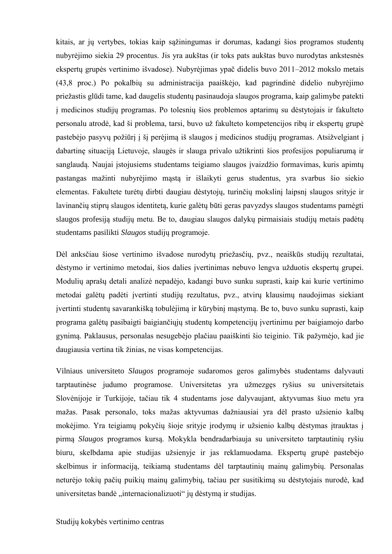kitais, ar jų vertybes, tokias kaip sąžiningumas ir dorumas, kadangi šios programos studentų nubyrėjimo siekia 29 procentus. Jis yra aukštas (ir toks pats aukštas buvo nurodytas ankstesnės ekspertų grupės vertinimo išvadose). Nubyrėjimas ypač didelis buvo 2011–2012 mokslo metais (43,8 proc.) Po pokalbių su administracija paaiškėjo, kad pagrindinė didelio nubyrėjimo priežastis glūdi tame, kad daugelis studentų pasinaudoja slaugos programa, kaip galimybe patekti į medicinos studijų programas. Po tolesnių šios problemos aptarimų su dėstytojais ir fakulteto personalu atrodė, kad ši problema, tarsi, buvo už fakulteto kompetencijos ribų ir ekspertų grupė pastebėjo pasyvų požiūrį į šį perėjimą iš slaugos į medicinos studijų programas. Atsižvelgiant į dabartinę situaciją Lietuvoje, slaugės ir slauga privalo užtikrinti šios profesijos populiarumą ir sanglaudą. Naujai įstojusiems studentams teigiamo slaugos įvaizdžio formavimas, kuris apimtų pastangas mažinti nubyrėjimo mąstą ir išlaikyti gerus studentus, yra svarbus šio siekio elementas. Fakultete turėtų dirbti daugiau dėstytojų, turinčių mokslinį laipsnį slaugos srityje ir lavinančių stiprų slaugos identitetą, kurie galėtų būti geras pavyzdys slaugos studentams pamėgti slaugos profesiją studijų metu. Be to, daugiau slaugos dalykų pirmaisiais studijų metais padėtų studentams pasilikti *Slaugos* studijų programoje.

Dėl anksčiau šiose vertinimo išvadose nurodytų priežasčių, pvz., neaiškūs studijų rezultatai, dėstymo ir vertinimo metodai, šios dalies įvertinimas nebuvo lengva užduotis ekspertų grupei. Modulių aprašų detali analizė nepadėjo, kadangi buvo sunku suprasti, kaip kai kurie vertinimo metodai galėtų padėti įvertinti studijų rezultatus, pvz., atvirų klausimų naudojimas siekiant įvertinti studentų savarankišką tobulėjimą ir kūrybinį mąstymą. Be to, buvo sunku suprasti, kaip programa galėtų pasibaigti baigiančiųjų studentų kompetencijų įvertinimu per baigiamojo darbo gynimą. Paklausus, personalas nesugebėjo plačiau paaiškinti šio teiginio. Tik pažymėjo, kad jie daugiausia vertina tik žinias, ne visas kompetencijas.

Vilniaus universiteto *Slaugos* programoje sudaromos geros galimybės studentams dalyvauti tarptautinėse judumo programose. Universitetas yra užmezgęs ryšius su universitetais Slovėnijoje ir Turkijoje, tačiau tik 4 studentams jose dalyvaujant, aktyvumas šiuo metu yra mažas. Pasak personalo, toks mažas aktyvumas dažniausiai yra dėl prasto užsienio kalbų mokėjimo. Yra teigiamų pokyčių šioje srityje įrodymų ir užsienio kalbų dėstymas įtrauktas į pirmą *Slaugos* programos kursą. Mokykla bendradarbiauja su universiteto tarptautinių ryšiu biuru, skelbdama apie studijas užsienyje ir jas reklamuodama. Ekspertų grupė pastebėjo skelbimus ir informaciją, teikiamą studentams dėl tarptautinių mainų galimybių. Personalas neturėjo tokių pačių puikių mainų galimybių, tačiau per susitikimą su dėstytojais nurodė, kad universitetas bandė "internacionalizuoti" jų dėstymą ir studijas.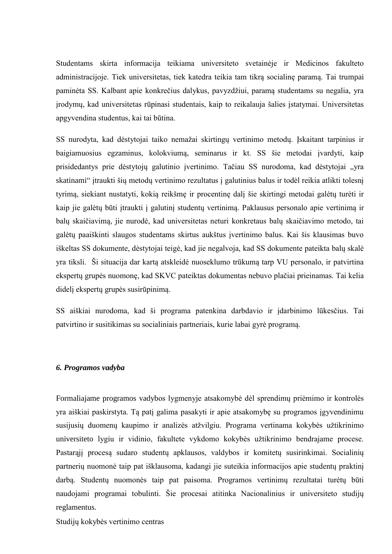Studentams skirta informacija teikiama universiteto svetainėje ir Medicinos fakulteto administracijoje. Tiek universitetas, tiek katedra teikia tam tikrą socialinę paramą. Tai trumpai paminėta SS. Kalbant apie konkrečius dalykus, pavyzdžiui, paramą studentams su negalia, yra įrodymų, kad universitetas rūpinasi studentais, kaip to reikalauja šalies įstatymai. Universitetas apgyvendina studentus, kai tai būtina.

SS nurodyta, kad dėstytojai taiko nemažai skirtingų vertinimo metodų. Įskaitant tarpinius ir baigiamuosius egzaminus, kolokviumą, seminarus ir kt. SS šie metodai įvardyti, kaip prisidedantys prie dėstytojų galutinio įvertinimo. Tačiau SS nurodoma, kad dėstytojai "yra skatinami" įtraukti šių metodų vertinimo rezultatus į galutinius balus ir todėl reikia atlikti tolesnį tyrimą, siekiant nustatyti, kokią reikšmę ir procentinę dalį šie skirtingi metodai galėtų turėti ir kaip jie galėtų būti įtraukti į galutinį studentų vertinimą. Paklausus personalo apie vertinimą ir balų skaičiavimą, jie nurodė, kad universitetas neturi konkretaus balų skaičiavimo metodo, tai galėtų paaiškinti slaugos studentams skirtus aukštus įvertinimo balus. Kai šis klausimas buvo iškeltas SS dokumente, dėstytojai teigė, kad jie negalvoja, kad SS dokumente pateikta balų skalė yra tiksli. Ši situacija dar kartą atskleidė nuoseklumo trūkumą tarp VU personalo, ir patvirtina ekspertų grupės nuomonę, kad SKVC pateiktas dokumentas nebuvo plačiai prieinamas. Tai kelia didelį ekspertų grupės susirūpinimą.

SS aiškiai nurodoma, kad ši programa patenkina darbdavio ir įdarbinimo lūkesčius. Tai patvirtino ir susitikimas su socialiniais partneriais, kurie labai gyrė programą.

### <span id="page-31-0"></span>*6. Programos vadyba*

Formaliajame programos vadybos lygmenyje atsakomybė dėl sprendimų priėmimo ir kontrolės yra aiškiai paskirstyta. Tą patį galima pasakyti ir apie atsakomybę su programos įgyvendinimu susijusių duomenų kaupimo ir analizės atžvilgiu. Programa vertinama kokybės užtikrinimo universiteto lygiu ir vidinio, fakultete vykdomo kokybės užtikrinimo bendrajame procese. Pastarąjį procesą sudaro studentų apklausos, valdybos ir komitetų susirinkimai. Socialinių partnerių nuomonė taip pat išklausoma, kadangi jie suteikia informacijos apie studentų praktinį darbą. Studentų nuomonės taip pat paisoma. Programos vertinimų rezultatai turėtų būti naudojami programai tobulinti. Šie procesai atitinka Nacionalinius ir universiteto studijų reglamentus.

Studijų kokybės vertinimo centras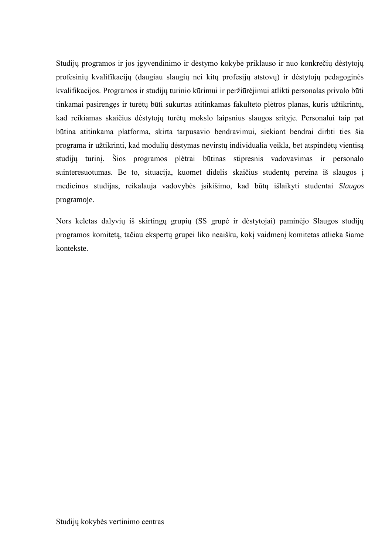Studijų programos ir jos įgyvendinimo ir dėstymo kokybė priklauso ir nuo konkrečių dėstytojų profesinių kvalifikacijų (daugiau slaugių nei kitų profesijų atstovų) ir dėstytojų pedagoginės kvalifikacijos. Programos ir studijų turinio kūrimui ir peržiūrėjimui atlikti personalas privalo būti tinkamai pasirengęs ir turėtų būti sukurtas atitinkamas fakulteto plėtros planas, kuris užtikrintų, kad reikiamas skaičius dėstytojų turėtų mokslo laipsnius slaugos srityje. Personalui taip pat būtina atitinkama platforma, skirta tarpusavio bendravimui, siekiant bendrai dirbti ties šia programa ir užtikrinti, kad modulių dėstymas nevirstų individualia veikla, bet atspindėtų vientisą studijų turinį. Šios programos plėtrai būtinas stipresnis vadovavimas ir personalo suinteresuotumas. Be to, situacija, kuomet didelis skaičius studentų pereina iš slaugos į medicinos studijas, reikalauja vadovybės įsikišimo, kad būtų išlaikyti studentai *Slaugos* programoje.

Nors keletas dalyvių iš skirtingų grupių (SS grupė ir dėstytojai) paminėjo Slaugos studijų programos komitetą, tačiau ekspertų grupei liko neaišku, kokį vaidmenį komitetas atlieka šiame kontekste.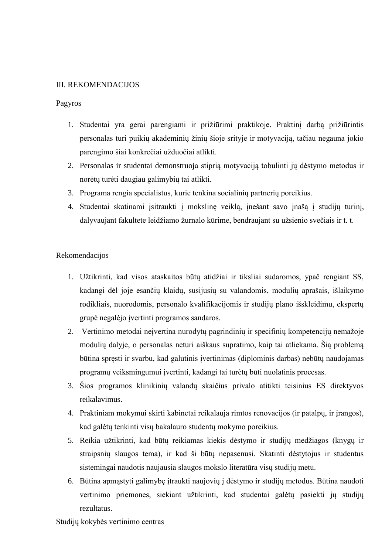### <span id="page-33-0"></span>III. REKOMENDACIJOS

### Pagyros

- 1. Studentai yra gerai parengiami ir prižiūrimi praktikoje. Praktinį darbą prižiūrintis personalas turi puikių akademinių žinių šioje srityje ir motyvaciją, tačiau negauna jokio parengimo šiai konkrečiai užduočiai atlikti.
- 2. Personalas ir studentai demonstruoja stiprią motyvaciją tobulinti jų dėstymo metodus ir norėtų turėti daugiau galimybių tai atlikti.
- 3. Programa rengia specialistus, kurie tenkina socialinių partnerių poreikius.
- 4. Studentai skatinami įsitraukti į mokslinę veiklą, įnešant savo įnašą į studijų turinį, dalyvaujant fakultete leidžiamo žurnalo kūrime, bendraujant su užsienio svečiais ir t. t.

### Rekomendacijos

- 1. Užtikrinti, kad visos ataskaitos būtų atidžiai ir tiksliai sudaromos, ypač rengiant SS, kadangi dėl joje esančių klaidų, susijusių su valandomis, modulių aprašais, išlaikymo rodikliais, nuorodomis, personalo kvalifikacijomis ir studijų plano išskleidimu, ekspertų grupė negalėjo įvertinti programos sandaros.
- 2. Vertinimo metodai neįvertina nurodytų pagrindinių ir specifinių kompetencijų nemažoje modulių dalyje, o personalas neturi aiškaus supratimo, kaip tai atliekama. Šią problemą būtina spręsti ir svarbu, kad galutinis įvertinimas (diplominis darbas) nebūtų naudojamas programų veiksmingumui įvertinti, kadangi tai turėtų būti nuolatinis procesas.
- 3. Šios programos klinikinių valandų skaičius privalo atitikti teisinius ES direktyvos reikalavimus.
- 4. Praktiniam mokymui skirti kabinetai reikalauja rimtos renovacijos (ir patalpų, ir įrangos), kad galėtų tenkinti visų bakalauro studentų mokymo poreikius.
- 5. Reikia užtikrinti, kad būtų reikiamas kiekis dėstymo ir studijų medžiagos (knygų ir straipsnių slaugos tema), ir kad ši būtų nepasenusi. Skatinti dėstytojus ir studentus sistemingai naudotis naujausia slaugos mokslo literatūra visų studijų metu.
- 6. Būtina apmąstyti galimybę įtraukti naujovių į dėstymo ir studijų metodus. Būtina naudoti vertinimo priemones, siekiant užtikrinti, kad studentai galėtų pasiekti jų studijų rezultatus.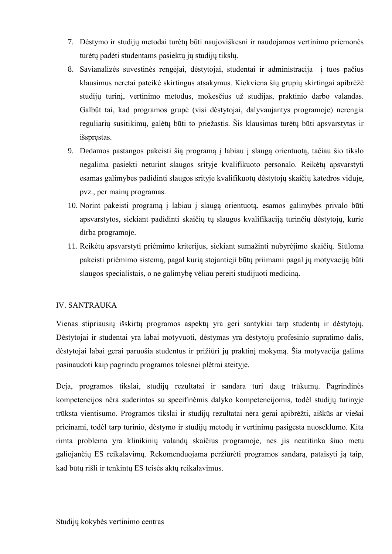- 7. Dėstymo ir studijų metodai turėtų būti naujoviškesni ir naudojamos vertinimo priemonės turėtų padėti studentams pasiektų jų studijų tikslų.
- 8. Savianalizės suvestinės rengėjai, dėstytojai, studentai ir administracija i tuos pačius klausimus neretai pateikė skirtingus atsakymus. Kiekviena šių grupių skirtingai apibrėžė studijų turinį, vertinimo metodus, mokesčius už studijas, praktinio darbo valandas. Galbūt tai, kad programos grupė (visi dėstytojai, dalyvaujantys programoje) nerengia reguliarių susitikimų, galėtų būti to priežastis. Šis klausimas turėtų būti apsvarstytas ir išspręstas.
- 9. Dedamos pastangos pakeisti šią programą į labiau į slaugą orientuotą, tačiau šio tikslo negalima pasiekti neturint slaugos srityje kvalifikuoto personalo. Reikėtų apsvarstyti esamas galimybes padidinti slaugos srityje kvalifikuotų dėstytojų skaičių katedros viduje, pvz., per mainų programas.
- 10. Norint pakeisti programą į labiau į slaugą orientuotą, esamos galimybės privalo būti apsvarstytos, siekiant padidinti skaičių tų slaugos kvalifikaciją turinčių dėstytojų, kurie dirba programoje.
- 11. Reikėtų apsvarstyti priėmimo kriterijus, siekiant sumažinti nubyrėjimo skaičių. Siūloma pakeisti priėmimo sistemą, pagal kurią stojantieji būtų priimami pagal jų motyvaciją būti slaugos specialistais, o ne galimybę vėliau pereiti studijuoti mediciną.

### <span id="page-34-0"></span>IV. SANTRAUKA

Vienas stipriausių išskirtų programos aspektų yra geri santykiai tarp studentų ir dėstytojų. Dėstytojai ir studentai yra labai motyvuoti, dėstymas yra dėstytojų profesinio supratimo dalis, dėstytojai labai gerai paruošia studentus ir prižiūri jų praktinį mokyma. Šia motyvacija galima pasinaudoti kaip pagrindu programos tolesnei plėtrai ateityje.

Deja, programos tikslai, studijų rezultatai ir sandara turi daug trūkumų. Pagrindinės kompetencijos nėra suderintos su specifinėmis dalyko kompetencijomis, todėl studijų turinyje trūksta vientisumo. Programos tikslai ir studijų rezultatai nėra gerai apibrėžti, aiškūs ar viešai prieinami, todėl tarp turinio, dėstymo ir studijų metodų ir vertinimų pasigesta nuoseklumo. Kita rimta problema yra klinikinių valandų skaičius programoje, nes jis neatitinka šiuo metu galiojančių ES reikalavimų. Rekomenduojama peržiūrėti programos sandarą, pataisyti ją taip, kad būtų rišli ir tenkintų ES teisės aktų reikalavimus.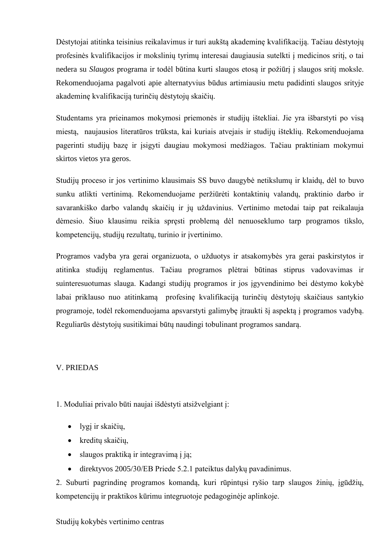Dėstytojai atitinka teisinius reikalavimus ir turi aukštą akademinę kvalifikaciją. Tačiau dėstytojų profesinės kvalifikacijos ir mokslinių tyrimų interesai daugiausia sutelkti į medicinos sritį, o tai nedera su *Slaugos* programa ir todėl būtina kurti slaugos etosa ir požiūri į slaugos sriti moksle. Rekomenduojama pagalvoti apie alternatyvius būdus artimiausiu metu padidinti slaugos srityje akademinę kvalifikaciją turinčių dėstytojų skaičių.

Studentams yra prieinamos mokymosi priemonės ir studijų ištekliai. Jie yra išbarstyti po visą miestą, naujausios literatūros trūksta, kai kuriais atvejais ir studijų išteklių. Rekomenduojama pagerinti studijų bazę ir įsigyti daugiau mokymosi medžiagos. Tačiau praktiniam mokymui skirtos vietos yra geros.

Studijų proceso ir jos vertinimo klausimais SS buvo daugybė netikslumų ir klaidų, dėl to buvo sunku atlikti vertinimą. Rekomenduojame peržiūrėti kontaktinių valandų, praktinio darbo ir savarankiško darbo valandų skaičių ir jų uždavinius. Vertinimo metodai taip pat reikalauja dėmesio. Šiuo klausimu reikia spręsti problemą dėl nenuoseklumo tarp programos tikslo, kompetencijų, studijų rezultatų, turinio ir įvertinimo.

Programos vadyba yra gerai organizuota, o užduotys ir atsakomybės yra gerai paskirstytos ir atitinka studijų reglamentus. Tačiau programos plėtrai būtinas stiprus vadovavimas ir suinteresuotumas slauga. Kadangi studijų programos ir jos įgyvendinimo bei dėstymo kokybė labai priklauso nuo atitinkamą profesinę kvalifikaciją turinčių dėstytojų skaičiaus santykio programoje, todėl rekomenduojama apsvarstyti galimybę įtraukti šį aspektą į programos vadybą. Reguliarūs dėstytojų susitikimai būtų naudingi tobulinant programos sandarą.

### V. PRIEDAS

1. Moduliai privalo būti naujai išdėstyti atsižvelgiant į:

- lygį ir skaičių,
- kreditų skaičių,
- slaugos praktiką ir integravimą į ją;
- direktyvos 2005/30/EB Priede 5.2.1 pateiktus dalykų pavadinimus.

2. Suburti pagrindinę programos komandą, kuri rūpintųsi ryšio tarp slaugos žinių, įgūdžių, kompetencijų ir praktikos kūrimu integruotoje pedagoginėje aplinkoje.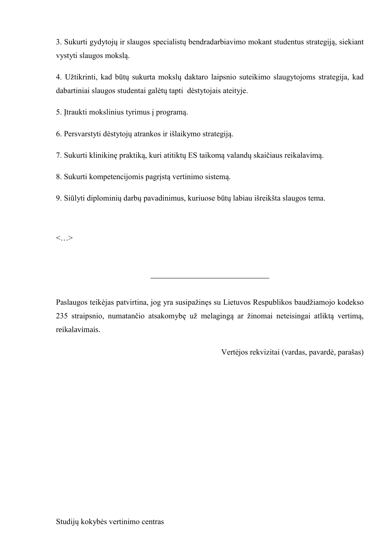3. Sukurti gydytojų ir slaugos specialistų bendradarbiavimo mokant studentus strategiją, siekiant vystyti slaugos mokslą.

4. Užtikrinti, kad būtų sukurta mokslų daktaro laipsnio suteikimo slaugytojoms strategija, kad dabartiniai slaugos studentai galėtų tapti dėstytojais ateityje.

5. Įtraukti mokslinius tyrimus į programą.

6. Persvarstyti dėstytojų atrankos ir išlaikymo strategiją.

7. Sukurti klinikinę praktiką, kuri atitiktų ES taikomą valandų skaičiaus reikalavimą.

8. Sukurti kompetencijomis pagrįstą vertinimo sistemą.

9. Siūlyti diplominių darbų pavadinimus, kuriuose būtų labiau išreikšta slaugos tema.

<span id="page-36-0"></span><…>

Paslaugos teikėjas patvirtina, jog yra susipažinęs su Lietuvos Respublikos baudžiamojo kodekso 235 straipsnio, numatančio atsakomybę už melagingą ar žinomai neteisingai atliktą vertimą, reikalavimais.

\_\_\_\_\_\_\_\_\_\_\_\_\_\_\_\_\_\_\_\_\_\_\_\_\_\_\_\_\_\_

Vertėjos rekvizitai (vardas, pavardė, parašas)